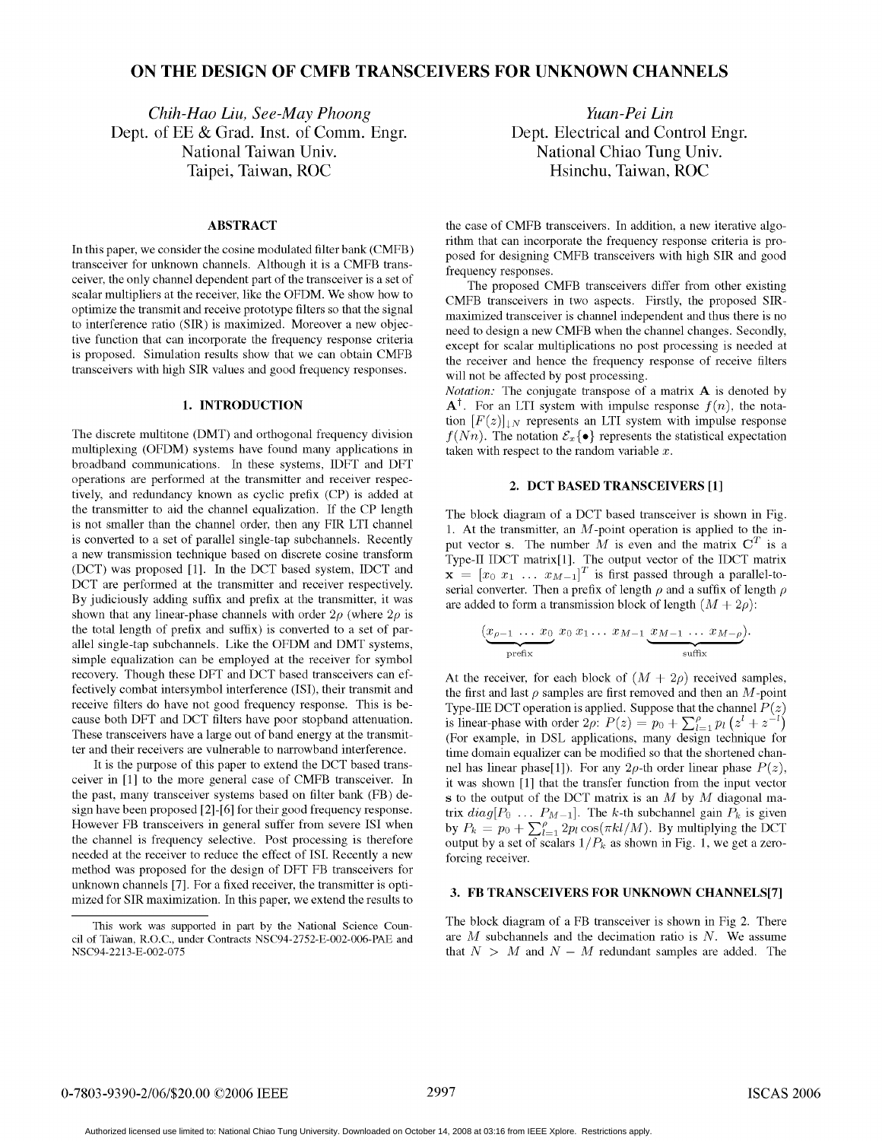# ON THE DESIGN OF CMFB TRANSCEIVERS FOR UNKNOWN CHANNELS

Chih-Hao Liu, See-May Phoong<br>
of EE & Grad. Inst. of Comm. Engr. Dept. Electrical and Control Engr. Dept. of EE & Grad. Inst. of Comm. Engr. National Taiwan Univ. National Chiao Tung Univ. Taipei, Taiwan, ROC **Heiler and Hall** History, Taiwan, ROC

transceiver for unknown channels. Although it is a CMFB trans-<br>frequency responses. ceiver, the only channel dependent part of the transceiver is a set of The proposed CMFB transceivers differ from other existing to interference ratio (SIR) is maximized. Moreover a new objectransceivers with high SIR values and good frequency responses. will not be affected by post processing.

multiplexing (OFDM) systems have found many applications in taken with respect to the random variable  $x$ . broadband communications. In these systems, IDFT and DFT operations are performed at the transmitter and receiver respec-<br>2. DCT BASED TRANSCEIVERS [1] tively, and redundancy known as cyclic prefix (CP) is added at the transmitter to aid the channel equalization. If the CP length The block diagram of <sup>a</sup> DCT based transceiver is shown in Fig. is not smaller than the channel order, then any FIR LTI channel  $\begin{array}{c} 1. \text{ At the transmitter, an } M\text{-point operation is applied to the in-} \end{array}$ is converted to a set of parallel single-tap subchannels. Recently put vector s. The number  $M$  is even and the matrix  $C<sup>T</sup>$  is a a new transmission technique based on discrete cosine transform  $T_{\text{y}} = \frac{1}{T} \sum_{n=0}^{T} \frac{1}{n}$ . The output vector of the IDCT matrix (DCT) was proposed [1]. In the DCT based system, IDCT and  $\mathbf{v} = [x_0, x_1, \dots, x_{N-1}]$ DCT are performed at the transmitter and receiver respectively. Serial converter. Then a prefix of length  $\rho$  and a suffix of length  $\rho$ By judiciously adding suffix and prefix at the transmitter, it was are added to form a transmission block of length  $(M + 2\rho)$ : shown that any linear-phase channels with order  $2\rho$  (where  $2\rho$  is the total length of prefix and suffix) is converted to a set of parallel single-tap subchannels. Like the OFDM and DMT systems, simple equalization can be employed at the receiver for symbol recovery. Though these DFT and DCT based transceivers can ef-<br>fectively combat intersymbol interference (ISI), their transmit and<br>the first and last  $\alpha$  samples are first removed and then an M-point receive filters do have not good frequency response. This is be-<br>cause both DFT and DCT filters have poor stopband attenuation.<br>is linear-phase with order 2*o*:  $P(z) = p_0 + \sum_{n=1}^{\infty} \frac{p(z^2 + z^{-1})}{p_0(z^2 + z^{-1})}$ These transceivers have a large out of band energy at the transmit-

needed at the receiver to reduce the effect of ISI. Recently a new forcing receiver. method was proposed for the design of DFT FB transceivers for unknown channels [7]. For a fixed receiver, the transmitter is optimized for SIR maximization. In this paper, we extend the results to

ABSTRACT the case of CMFB transceivers. In addition, a new iterative algorithm that can incorporate the frequency response criteria is pro-In this paper, we consider the cosine modulated filter bank (CMFB) posed for designing CMFB transceivers with high SIR and good

scalar multipliers at the receiver, like the OFDM. We show how to CMFB transceivers in two aspects. Firstly, the proposed SIRoptimize the transmit and receive prototype filters so that the signal maximized transceiver is channel independent and thus there is no to interference ratio (SIR) is maximized. Moreover a new objec-<br>tive function that can incorporate the frequency response criteria<br>except for scalar multiplications no post processing is needed at is proposed. Simulation results show that we can obtain CMFB the receiver and hence the frequency response of receive filters

Notation: The conjugate transpose of a matrix  $A$  is denoted by **1. INTRODUCTION**  $A^{\dagger}$ . For an LTI system with impulse response  $f(n)$ , the notation  $[F(z)]_{\downarrow N}$  represents an LTI system with impulse response The discrete multitone (DMT) and orthogonal frequency division  $f(Nn)$ . The notation  $\mathcal{E}_x\{\bullet\}$  represents the statistical expectation

 $\mathbf{x} = [x_0 \ x_1 \ \dots \ x_{M-1}]^T$  is first passed through a parallel-to-

$$
(\underbrace{x_{\rho-1}\ \ldots\ x_0}_{\text{prefix}}\ x_0\ x_1\ \ldots\ x_{M-1}\ \underbrace{x_{M-1}\ \ldots\ x_{M-\rho}}_{\text{suffix}}).
$$

the first and last  $\rho$  samples are first removed and then an M-point is linear-phase with order  $2\rho$ :  $P(z) = p_0 + \sum_{i=1}^{p} p_i (z^i + z^{-i})$ <br>(For example, in DSL applications, many design technique for ter and their receivers are vulnerable to narrowband interference. time domain equalizer can be modified so that the shortened chan-It is the purpose of this paper to extend the DCT based trans- nel has linear phase[1]). For any  $2\rho$ -th order linear phase  $P(z)$ , ceiver in [1] to the more general case of CMFB transceiver. In it was shown [1] that the transfer function from the input vector the past, many transceiver systems based on filter bank (FB) de-<br>sign have been proposed [2]-[6] for their good frequency response.<br>trix  $diag[P_0, \ldots, P_{M-1}]$ . The k-th subchannel gain  $P_t$  is given sign have been proposed [2]-[6] for their good frequency response. trix  $diag[P_0 \dots P_{M-1}]$ . The k-th subchannel gain  $P_k$  is given<br>However FB transceivers in general suffer from severe ISI when  $\frac{1}{2}$  by  $P_k = n_0 + \sum_{i=1}^{p}$ However FB transceivers in general suffer from severe ISI when by  $P_k = p_0 + \sum_{l=1}^p 2p_l \cos(\pi kl/M)$ . By multiplying the DCT the channel is frequency selective. Post processing is therefore output by a set of scalars  $1/P_k$  as output by a set of scalars  $1/P_k$  as shown in Fig. 1, we get a zero-

### 3. FB TRANSCEIVERS FOR UNKNOWN CHANNELS[7]

This work was supported in part by the National Science Coun- The block diagram of <sup>a</sup> FB transceiver is shown in Fig 2. There that  $N > M$  and  $N - M$  redundant samples are added. The

cil of Taiwan, R.O.C., under Contracts NSC94-2752-E-002-006-PAE and are M subchannels and the decimation ratio is N. We assume NSC94-2213-E-002-075<br>NSC94-2213-E-002-075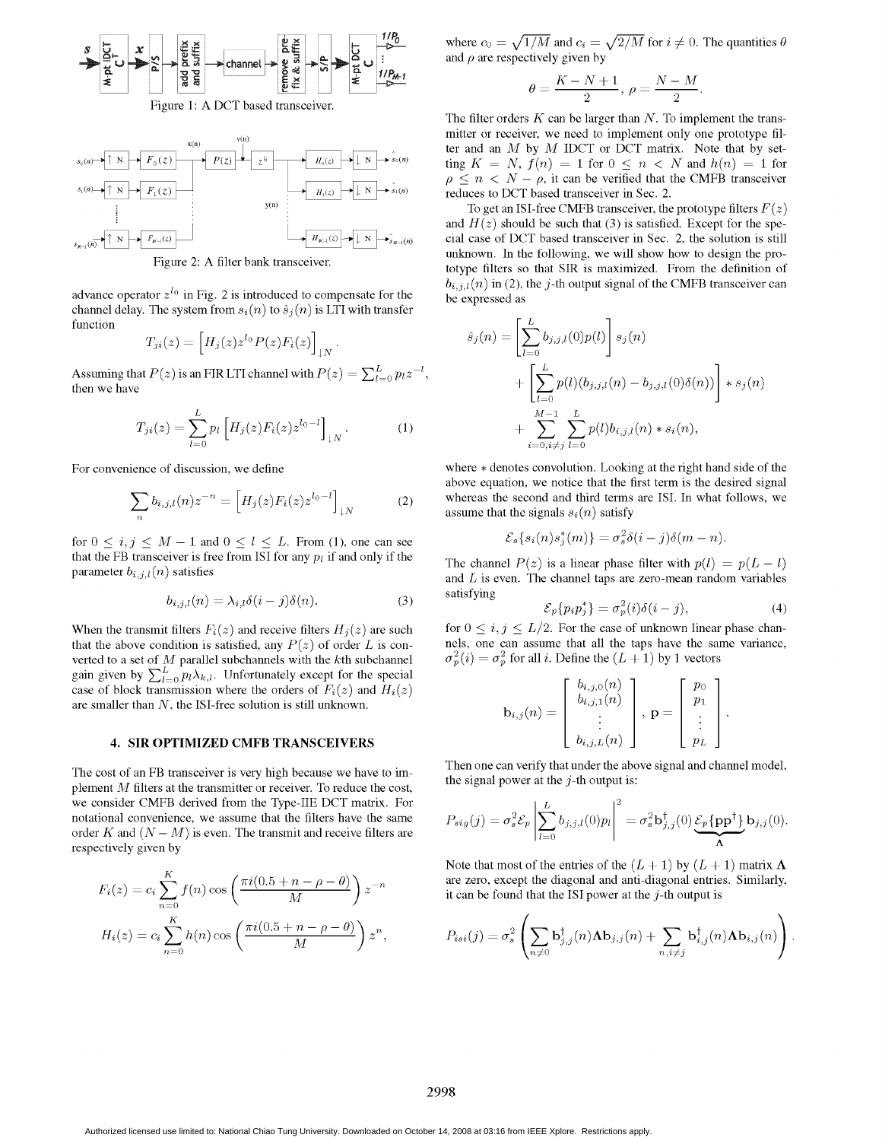

Figure 1: A DCT based transceiver.



advance operator  $z^{l_0}$  in Fig. 2 is introduced to compensate for the channel delay. The system from  $s_i(n)$  to  $\hat{s}_j(n)$  is LTI with transfer function function  $\left[\begin{array}{c} L \\ L \end{array}\right]$ 

$$
T_{ji}(z) = \left[H_j(z)z^{l_0}P(z)F_i(z)\right]_{\downarrow N}.
$$
\n
$$
\hat{s}_j(n) = \left[\sum_{l=0} b_{j,j,l}(0)p(l)\right]s_j(n)
$$

Assuming that  $P(z)$  is an FIR LTI channel with  $P(z) = \sum_{l=0}^{L} p_l z^{-l}$ ,  $\left[\sum_{i=0}^{L} p_i (p_i - p_i z^{-l}) \right]$ then we have  $\left| \sum_{i=0}^{n} p(i)(b_{j,j,l}(n) - b_{j,j,l}(0)\delta(n)) \right| * s_j(n)$ 

$$
T_{ji}(z) = \sum_{l=0}^{L} p_l \left[ H_j(z) F_i(z) z^{l_0-l} \right]_{\downarrow N}.
$$
\n(1) 
$$
+ \sum_{i=0, i \neq j}^{M-1} \sum_{l=0}^{L} p(l) b_{i,j,l}(n) * s_i(n),
$$

$$
\sum_{n} b_{i,j,l}(n) z^{-n} = \left[ H_j(z) F_i(z) z^{l_0 - l} \right]_{\downarrow N} \tag{2}
$$

for  $0 \le i, j \le M-1$  and  $0 \le l \le L$ . From (1), one can see that the FB transceiver is free from ISI for any  $p_l$  if and only if the

$$
b_{i,j,l}(n) = \lambda_{i,l}\delta(i-j)\delta(n). \tag{3}
$$

that the above condition is satisfied, any  $P(z)$  of order L is con-<br>verted to a set of M parallel subchannels with the kth subchannel  $\sigma_p^2(i) = \sigma_p^2$  for all i. Define the  $(L+1)$  by 1 vectors verted to a set of  $M$  parallel subchannels with the  $k$ th subchannel gain given by  $\sum_{l=0}^{L} p_l \lambda_{k,l}$ . Unfortunately except for the special case of block transmission where the orders of  $F_i(z)$  and  $H_i(z)$ are smaller than  $N$ , the ISI-free solution is still unknown.

### 4. SIR OPTIMIZED CMFB TRANSCEIVERS

plement  $M$  filters at the transmitter or receiver. To reduce the cost, we consider CMFB derived from the Type-IIE DCT matrix. For notational convenience, we assume that the filters have the same order  $K$  and  $(N - M)$  is even. The transmit and receive filters are respectively given by

$$
F_i(z) = c_i \sum_{n=0}^{K} f(n) \cos\left(\frac{\pi i (0.5 + n - \rho - \theta)}{M}\right) z^{-n}
$$
 are zero, except the diagonal and anti-diagonal entries. Similarly  
it can be found that the ISI power at the *j*-th output is  

$$
H_i(z) = c_i \sum_{n=0}^{K} h(n) \cos\left(\frac{\pi i (0.5 + n - \rho - \theta)}{M}\right) z^n,
$$
 
$$
P_{isi}(j) = \sigma_s^2 \left(\sum_{n \neq 0} b_{j,j}^{\dagger}(n) \Delta b_{j,j}(n) + \sum_{n,i \neq j} b_{i,j}^{\dagger}(n) \Delta b_{i,j}(n)\right)
$$

 $\begin{array}{ccc}\n\mathbf{z} & \mathbf{z} \\
\mathbf{z} & \mathbf{z} \\
\mathbf{z} & \mathbf{z}\n\end{array}$  where  $c_0 = \sqrt{1/M}$  and  $c_i = \sqrt{2/M}$  for  $i \neq 0$ . The quantities  $\theta$ 

$$
\theta = \frac{K - N + 1}{2}, \ \rho = \frac{N - M}{2}.
$$

The filter orders  $K$  can be larger than  $N$ . To implement the trans-<br>mitter or receiver, we need to implement only one prototype filter and an  $M$  by  $M$  IDCT or DCT matrix. Note that by set- $\lim K = N$ ,  $f(n) = 1$  for  $0 \le n \le N$  and  $h(n) = 1$  for  $\rho \leq n \leq N - \rho$ , it can be verified that the CMFB transceiver  $H_1(z)$   $\mapsto$  N  $\mapsto$  s<sub>1</sub>(n) reduces to DCT based transceiver in Sec. 2.

 $y(n)$  To get an ISI-free CMFB transceiver, the prototype filters  $F(z)$ and  $H(z)$  should be such that (3) is satisfied. Except for the spe-SM,(n) <sup>N</sup> F,, ,(z) <sup>H</sup> ,(z) <sup>N</sup> >M (n) cial case of DCT based transceiver in Sec. 2, the solution is still Figure 2: A filter bank transceiver.<br>
Figure 2: A filter bank transceiver.<br>
From the definition of  $b_{i,j,l}(n)$  in (2), the *j*-th output signal of the CMFB transceiver can be expressed as

$$
\hat{s}_j(n) = \left[ \sum_{l=0}^{L} b_{j,j,l}(0) p(l) \right] s_j(n) + \left[ \sum_{l=0}^{L} p(l) (b_{j,j,l}(n) - b_{j,j,l}(0) \delta(n)) \right] * s_j(n) + \sum_{i=0, i \neq j}^{M-1} \sum_{l=0}^{L} p(l) b_{i,j,l}(n) * s_i(n),
$$

For convenience of discussion, we define where \* denotes convolution. Looking at the right hand side of the above equation, we notice that the first term is the desired signal whereas the second and third terms are ISI. In what follows, we assume that the signals  $s_i(n)$  satisfy

$$
\mathcal{E}_s\{s_i(n)s_j^*(m)\} = \sigma_s^2\delta(i-j)\delta(m-n).
$$

that the FB transceiver is free from ISI for any  $p_l$  if and only if the The channel  $P(z)$  is a linear phase filter with  $p(l) = p(L - l)$ <br>parameter  $b_{i,j,l}(n)$  satisfies and  $I$  is avain. The channel tops are gero mean random v and  $L$  is even. The channel taps are zero-mean random variables

$$
b_{i,j,l}(n) = \lambda_{i,l}\delta(i-j)\delta(n). \tag{3}
$$
 satisfying 
$$
\mathcal{E}_p\{p_ip_j^*\} = \sigma_p^2(i)\delta(i-j), \tag{4}
$$

When the transmit filters  $F_i(z)$  and receive filters  $H_j(z)$  are such for  $0 \le i, j \le L/2$ . For the case of unknown linear phase chan-<br>that the above condition is satisfied, any  $P(z)$  of order L is con-

2*l* = 0 *PlW*, *l.* Unfortunately, *l* = 0 *PW*, *l.* Unfortunately, *u* = 0 *PW*, *u.* The solution is still unknown.

\n3.1. 
$$
P
$$
 is a function of  $F_i(z)$  and  $H_i(z)$ .

\n4.2.  $b_{i,j}(n) = \begin{bmatrix} b_{i,j,0}(n) \\ b_{i,j,1}(n) \\ \vdots \\ b_{i,j,L}(n) \end{bmatrix}$ ,  $\mathbf{p} = \begin{bmatrix} p_0 \\ p_1 \\ \vdots \\ p_L \end{bmatrix}$ .

Then one can verify that under the above signal and channel model,<br>the signal power at the *j*-th output is:

$$
P_{sig}(j) = \sigma_s^2 \mathcal{E}_p \left| \sum_{l=0}^{L} b_{j,j,l}(0) p_l \right|^2 = \sigma_s^2 \mathbf{b}_{j,j}^{\dagger}(0) \underbrace{\mathcal{E}_p \{\mathbf{p} \mathbf{p}^{\dagger}\}}_{\mathbf{\Lambda}} \mathbf{b}_{j,j}(0).
$$

Note that most of the entries of the  $(L + 1)$  by  $(L + 1)$  matrix  $\Lambda$ are zero, except the diagonal and anti-diagonal entries. Similarly, it can be found that the ISI power at the  $j$ -th output is

$$
\sum_{n=0}^{K} h(n) \cos \left( \frac{\pi i (0.5 + n - \rho - \theta)}{M} \right) z^n, \qquad P_{isi}(j) = \sigma_s^2 \left( \sum_{n \neq 0} \mathbf{b}_{j,j}^{\dagger}(n) \mathbf{\Lambda} \mathbf{b}_{j,j}(n) + \sum_{n,i \neq j} \mathbf{b}_{i,j}^{\dagger}(n) \mathbf{\Lambda} \mathbf{b}_{i,j}(n) \right).
$$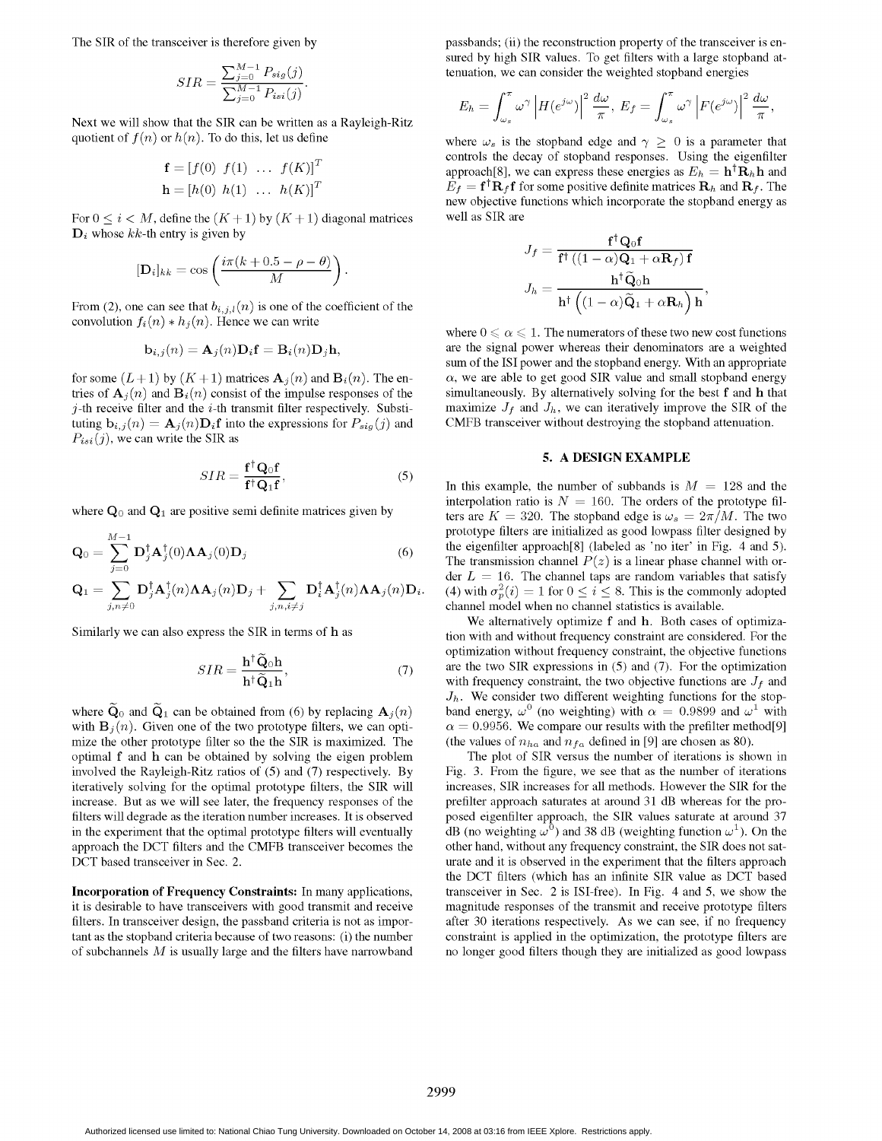$$
SIR = \frac{\sum_{j=0}^{M-1} P_{sig}(j)}{\sum_{j=0}^{M-1} P_{isi}(j)}.
$$

Next we will show that the SIR can be written as a Rayleigh-Ritz quotient of  $f(n)$  or  $h(n)$ . To do this, let us define where  $\omega_s$  is the stopband edge and  $\gamma \geq 0$  is a parameter that

$$
\mathbf{f} = [f(0) \ f(1) \ \dots \ f(K)]^T
$$

$$
\mathbf{h} = [h(0) \ h(1) \ \dots \ h(K)]^T
$$

For  $0 \le i \le M$ , define the  $(K+1)$  by  $(K+1)$  diagonal matrices well as SIR are  $D_i$  whose kk-th entry is given by

$$
[\mathbf{D}_i]_{kk} = \cos\left(\frac{i\pi(k+0.5-\rho-\theta)}{M}\right).
$$
\n
$$
\mathbf{f}^\dagger \left((1-\alpha)\mathbf{Q}_1 + \mathbf{B}^\dagger \widetilde{\mathbf{Q}}_0 \mathbf{h}\right).
$$

From (2), one can see that  $b_{i,j,l}(n)$  is one of the coefficient of the convolution  $f_i(n) * h_j(n)$ . Hence we can write

$$
\mathbf{b}_{i,j}(n) = \mathbf{A}_j(n)\mathbf{D}_i\mathbf{f} = \mathbf{B}_i(n)\mathbf{D}_j\mathbf{h},
$$

tries of  $\mathbf{A}_j(n)$  and  $\mathbf{B}_i(n)$  consist of the impulse responses of the simultaneously. By alternatively solving for the best f and h that  $j$ -th receive filter and the i-th transmit filter respectively. Substi-<br>maxi j-th receive filter and the  $i$ -th transmit filter respectively. Substituting  $\mathbf{b}_{i,j}(n) = \mathbf{A}_j(n) \mathbf{D}_i \mathbf{f}$  into the expressions for  $P_{sig}(j)$  and CMFB transceiver without destroying the stopband attenuation.  $P_{isi}(j)$ , we can write the SIR as

$$
SIR = \frac{\mathbf{f}^\dagger \mathbf{Q}_0 \mathbf{f}}{\mathbf{f}^\dagger \mathbf{Q}_1 \mathbf{f}},\tag{5}
$$

$$
\mathbf{Q}_0 = \sum_{j=0}^{M-1} \mathbf{D}_j^{\dagger} \mathbf{A}_j^{\dagger}(0) \mathbf{\Lambda} \mathbf{A}_j(0) \mathbf{D}_j
$$
(6)  

$$
\mathbf{Q}_1 = \sum_{i,n \neq 0} \mathbf{D}_j^{\dagger} \mathbf{A}_j^{\dagger}(n) \mathbf{\Lambda} \mathbf{A}_j(n) \mathbf{D}_j + \sum_{i,n \neq j} \mathbf{D}_i^{\dagger} \mathbf{A}_j^{\dagger}(n) \mathbf{\Lambda} \mathbf{A}_j(n) \mathbf{D}_i
$$

$$
SIR = \frac{\mathbf{h}^\dagger \widetilde{\mathbf{Q}}_0 \mathbf{h}}{\mathbf{h}^\dagger \widetilde{\mathbf{Q}}_1 \mathbf{h}},\tag{7}
$$

where  $\tilde{\mathbf{Q}}_0$  and  $\tilde{\mathbf{Q}}_1$  can be obtained from (6) by replacing  $\mathbf{A}_j(n)$  with  $\mathbf{B}_j(n)$ . Given one of the two prototype filters, we can optimize the other prototype filter so the the SIR is maximized. The optimal <sup>f</sup> and h can be obtained by solving the eigen problem The plot of SIR versus the number of iterations is shown in involved the Rayleigh-Ritz ratios of (5) and (7) respectively. By Fig. 3. From the figure, we see that as the number of iterations iteratively solving for the optimal prototype filters, the SIR will increases, SIR increases for all methods. However the SIR for the increase. But as we will see later, the frequency responses of the prefilter approach saturates at around 31 dB whereas for the profilters will degrade as the iteration number increases. It is observed posed eigenfilter approach, the SIR values saturate at around 37 in the experiment that the optimal prototype filters will eventually dB (no weighting  $\omega^0$ ) and 38 dB (weighting function  $\omega^1$ ). On the approach the DCT filters and the CMFB transceiver becomes the other hand, without any frequency constraint, the SIR does not sat-DCT based transceiver in Sec. 2. urate and it is observed in the experiment that the filters approach

it is desirable to have transceivers with good transmit and receive magnitude responses of the transmit and receive prototype filters filters. In transceiver design, the passband criteria is not as impor- after 30 iterations respectively. As we can see, if no frequency tant as the stopband criteria because of two reasons: (i) the number constraint is applied in the optimization, the prototype filters are of subchannels M is usually large and the filters have narrowband no longer good filters though they are initialized as good lowpass

The SIR of the transceiver is therefore given by passbands; (ii) the reconstruction property of the transceiver is ensured by high SIR values. To get filters with a large stopband attenuation, we can consider the weighted stopband energies

$$
\sum_{j=0}^{M-1} P_{isi}(j)
$$
\nR can be written as a Rayleigh-Ritz\n
$$
E_h = \int_{\omega_s}^{\pi} \omega^{\gamma} \left| H(e^{j\omega}) \right|^2 \frac{d\omega}{\pi}, \ E_f = \int_{\omega_s}^{\pi} \omega^{\gamma} \left| F(e^{j\omega}) \right|^2 \frac{d\omega}{\pi},
$$

controls the decay of stopband responses. Using the eigenfilter approach[8], we can express these energies as  $E_h = \mathbf{h}^\dagger \mathbf{R}_h \mathbf{h}$  and  $E_f = f^{\dagger} \mathbf{R}_f f$  for some positive definite matrices  $\mathbf{R}_h$  and  $\mathbf{R}_f$ . The new objective functions which incorporate the stopband energy as

$$
J_f = \frac{\mathbf{f}^\dagger \mathbf{Q}_0 \mathbf{f}}{\mathbf{f}^\dagger \left( (1 - \alpha) \mathbf{Q}_1 + \alpha \mathbf{R}_f \right) \mathbf{f}}
$$

$$
\left( \frac{i \pi (k + 0.5 - \rho - \theta)}{M} \right).
$$

$$
J_h = \frac{\mathbf{h}^\dagger \mathbf{\tilde{Q}}_0 \mathbf{h}}{\mathbf{h}^\dagger \left( (1 - \alpha) \mathbf{\tilde{Q}}_1 + \alpha \mathbf{R}_h \right) \mathbf{h}},
$$

where  $0 \le \alpha \le 1$ . The numerators of these two new cost functions are the signal power whereas their denominators are a weighted sum of the ISI power and the stopband energy. With an appropriate for some  $(L+1)$  by  $(K+1)$  matrices  $\mathbf{A}_j(n)$  and  $\mathbf{B}_i(n)$ . The en-<br>tries of  $\mathbf{A}_i(n)$  and  $\mathbf{B}_i(n)$  consist of the impulse responses of the simultaneously. By alternatively solving for the best f and h that

### 5. A DESIGN EXAMPLE

In this example, the number of subbands is  $M = 128$  and the interpolation ratio is  $N = 160$ . The orders of the prototype filwhere  $Q_0$  and  $Q_1$  are positive semi definite matrices given by ters are  $K = 320$ . The stopband edge is  $\omega_s = 2\pi/M$ . The two prototype filters are initialized as good lowpass filter designed by the eigenfilter approach[8] (labeled as 'no iter' in Fig. 4 and 5). The transmission channel  $P(z)$  is a linear phase channel with order  $L = 16$ . The channel taps are random variables that satisfy (4) with  $\sigma_p^2(i) = 1$  for  $0 \le i \le 8$ . This is the commonly adopted channel model when no channel statistics is available.

We alternatively optimize f and h. Both cases of optimiza-Similarly we can also express the SIR in terms of h as tion with and without frequency constraint are considered. For the optimization without frequency constraint, the objective functions are the two SIR expressions in  $(5)$  and  $(7)$ . For the optimization with frequency constraint, the two objective functions are  $J_f$  and  $J_h$ . We consider two different weighting functions for the stop-<br>band energy,  $\omega^0$  (no weighting) with  $\alpha = 0.9899$  and  $\omega^1$  with  $\alpha = 0.9956$ . We compare our results with the prefilter method[9] (the values of  $n_{ha}$  and  $n_{fa}$  defined in [9] are chosen as 80).

the DCT filters (which has an infinite SIR value as DCT based Incorporation of Frequency Constraints: In many applications, transceiver in Sec. 2 is ISI-free). In Fig. 4 and 5, we show the